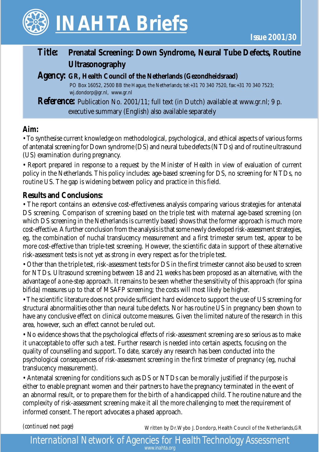

# *Title:* **Prenatal Screening: Down Syndrome, Neural Tube Defects, Routine Ultrasonography**

### *Agency:* **GR, Health Council of the Netherlands (Gezondheidsraad)**

 PO Box 16052, 2500 BB the Hague, the Netherlands; tel:+31 70 340 7520, fax:+31 70 340 7523; wj.dondorp@gr.nl, www.gr.nl

*Reference:* Publication No. 2001/11; full text (in Dutch) available at www.gr.nl; 9 p. executive summary (English) also available separately

# **Aim:**

• To synthesise current knowledge on methodological, psychological, and ethical aspects of various forms of antenatal screening for Down syndrome (DS) and neural tube defects (NTDs) and of routine ultrasound (US) examination during pregnancy.

• Report prepared in response to a request by the Minister of Health in view of evaluation of current policy in the Netherlands. This policy includes: age-based screening for DS, no screening for NTDs, no routine US. The gap is widening between policy and practice in this field.

### **Results and Conclusions:**

• The report contains an extensive cost-effectiveness analysis comparing various strategies for antenatal DS screening. Comparison of screening based on the triple test with maternal age-based screening (on which DS screening in the Netherlands is currently based) shows that the former approach is much more cost-effective. A further conclusion from the analysis is that some newly developed risk-assessment strategies, eg, the combination of nuchal translucency measurement and a first trimester serum test, appear to be more cost-effective than triple-test screening. However, the scientific data in support of these alternative risk-assessment tests is not yet as strong in every respect as for the triple test.

• Other than the triple test, risk-assessment tests for DS in the first trimester cannot also be used to screen for NTDs. Ultrasound screening between 18 and 21 weeks has been proposed as an alternative, with the advantage of a one-step approach. It remains to be seen whether the sensitivity of this approach (for spina bifida) measures up to that of MSAFP screening; the costs will most likely be higher.

• The scientific literature does not provide sufficient hard evidence to support the use of US screening for structural abnormalities other than neural tube defects. Nor has routine US in pregnancy been shown to have any conclusive effect on clinical outcome measures. Given the limited nature of the research in this area, however, such an effect cannot be ruled out.

• No evidence shows that the psychological effects of risk-assessment screening are so serious as to make it unacceptable to offer such a test. Further research is needed into certain aspects, focusing on the quality of counselling and support. To date, scarcely any research has been conducted into the psychological consequences of risk-assessment screening in the first trimester of pregnancy (eg, nuchal translucency measurement).

• Antenatal screening for conditions such as DS or NTDs can be morally justified if the purpose is either to enable pregnant women and their partners to have the pregnancy terminated in the event of an abnormal result, or to prepare them for the birth of a handicapped child. The routine nature and the complexity of risk-assessment screening make it all the more challenging to meet the requirement of informed consent. The report advocates a phased approach.

*(continued next page)*

Written by Dr. Wybo J. Dondorp, Health Council of the Netherlands,GR

*International Network of Agencies for Health Technology Assessment www.inahta.org*